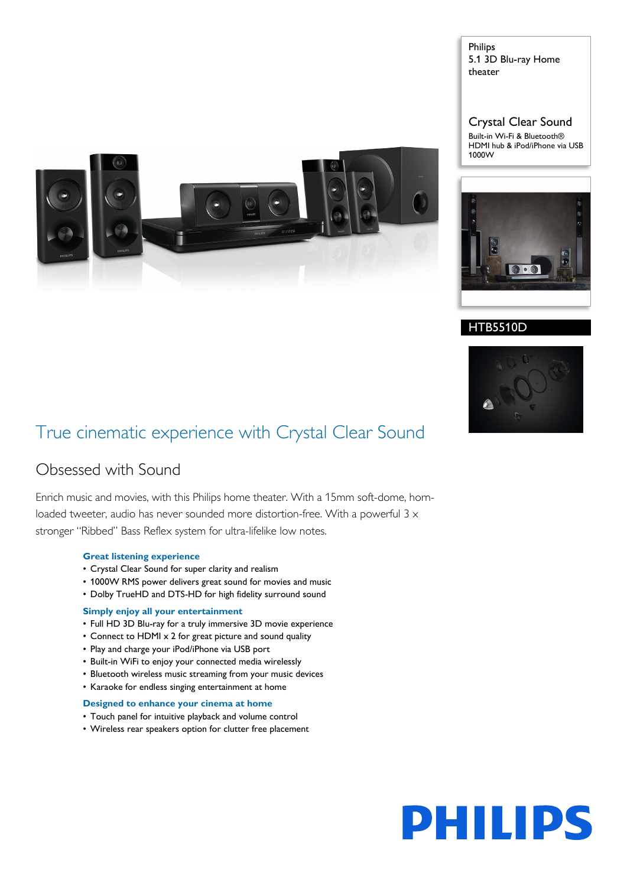

Philips 5.1 3D Blu-ray Home theater

Crystal Clear Sound

Built-in Wi-Fi & Bluetooth® HDMI hub & iPod/iPhone via USB 1000W



# HTB5510D



# True cinematic experience with Crystal Clear Sound

# Obsessed with Sound

Enrich music and movies, with this Philips home theater. With a 15mm soft-dome, hornloaded tweeter, audio has never sounded more distortion-free. With a powerful  $3 \times$ stronger "Ribbed" Bass Reflex system for ultra-lifelike low notes.

### **Great listening experience**

- Crystal Clear Sound for super clarity and realism
- 1000W RMS power delivers great sound for movies and music
- Dolby TrueHD and DTS-HD for high fidelity surround sound

#### **Simply enjoy all your entertainment**

- Full HD 3D Blu-ray for a truly immersive 3D movie experience
- Connect to HDMI x 2 for great picture and sound quality
- Play and charge your iPod/iPhone via USB port
- Built-in WiFi to enjoy your connected media wirelessly
- Bluetooth wireless music streaming from your music devices
- Karaoke for endless singing entertainment at home

#### **Designed to enhance your cinema at home**

- Touch panel for intuitive playback and volume control
- Wireless rear speakers option for clutter free placement

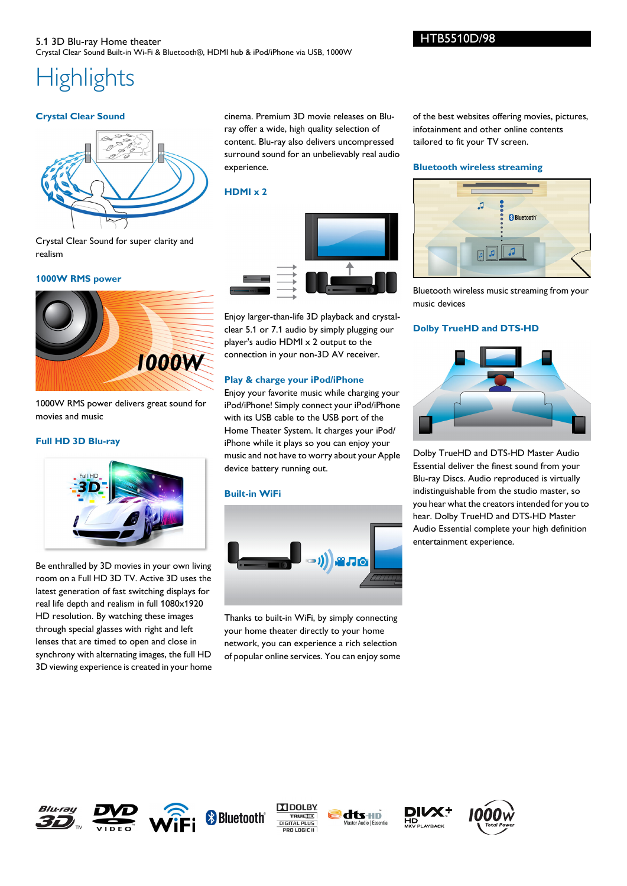# HTB5510D/98

# 5.1 3D Blu-ray Home theater Crystal Clear Sound Built-in Wi-Fi & Bluetooth®, HDMI hub & iPod/iPhone via USB, 1000W

# **Highlights**

# **Crystal Clear Sound**



Crystal Clear Sound for super clarity and realism

### **1000W RMS power**



1000W RMS power delivers great sound for movies and music

# **Full HD 3D Blu-ray**



Be enthralled by 3D movies in your own living room on a Full HD 3D TV. Active 3D uses the latest generation of fast switching displays for real life depth and realism in full 1080x1920 HD resolution. By watching these images through special glasses with right and left lenses that are timed to open and close in synchrony with alternating images, the full HD 3D viewing experience is created in your home cinema. Premium 3D movie releases on Bluray offer a wide, high quality selection of content. Blu-ray also delivers uncompressed surround sound for an unbelievably real audio experience.

# **HDMI x 2**



Enjoy larger-than-life 3D playback and crystalclear 5.1 or 7.1 audio by simply plugging our player's audio HDMI x 2 output to the connection in your non-3D AV receiver.

# **Play & charge your iPod/iPhone**

Enjoy your favorite music while charging your iPod/iPhone! Simply connect your iPod/iPhone with its USB cable to the USB port of the Home Theater System. It charges your iPod/ iPhone while it plays so you can enjoy your music and not have to worry about your Apple device battery running out.

# **Built-in WiFi**



Thanks to built-in WiFi, by simply connecting your home theater directly to your home network, you can experience a rich selection of popular online services. You can enjoy some of the best websites offering movies, pictures, infotainment and other online contents tailored to fit your TV screen.

# **Bluetooth wireless streaming**



Bluetooth wireless music streaming from your music devices

# **Dolby TrueHD and DTS-HD**



Dolby TrueHD and DTS-HD Master Audio Essential deliver the finest sound from your Blu-ray Discs. Audio reproduced is virtually indistinguishable from the studio master, so you hear what the creators intended for you to hear. Dolby TrueHD and DTS-HD Master Audio Essential complete your high definition entertainment experience.